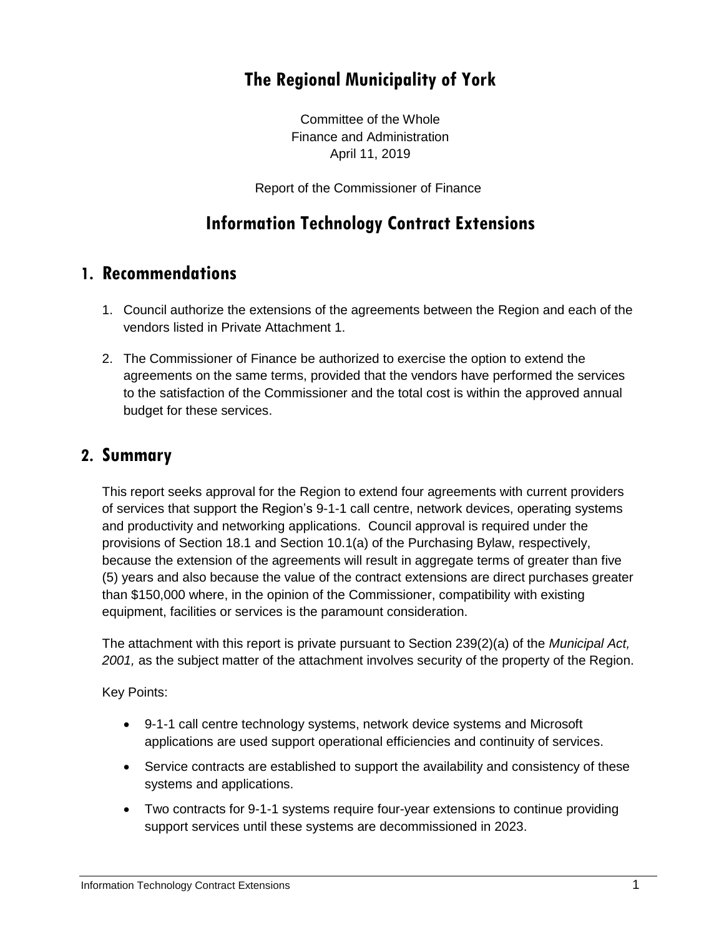# **The Regional Municipality of York**

Committee of the Whole Finance and Administration April 11, 2019

Report of the Commissioner of Finance

# **Information Technology Contract Extensions**

#### **1. Recommendations**

- 1. Council authorize the extensions of the agreements between the Region and each of the vendors listed in Private Attachment 1.
- 2. The Commissioner of Finance be authorized to exercise the option to extend the agreements on the same terms, provided that the vendors have performed the services to the satisfaction of the Commissioner and the total cost is within the approved annual budget for these services.

#### **2. Summary**

This report seeks approval for the Region to extend four agreements with current providers of services that support the Region's 9-1-1 call centre, network devices, operating systems and productivity and networking applications. Council approval is required under the provisions of Section 18.1 and Section 10.1(a) of the Purchasing Bylaw, respectively, because the extension of the agreements will result in aggregate terms of greater than five (5) years and also because the value of the contract extensions are direct purchases greater than \$150,000 where, in the opinion of the Commissioner, compatibility with existing equipment, facilities or services is the paramount consideration.

The attachment with this report is private pursuant to Section 239(2)(a) of the *Municipal Act, 2001,* as the subject matter of the attachment involves security of the property of the Region.

Key Points:

- 9-1-1 call centre technology systems, network device systems and Microsoft applications are used support operational efficiencies and continuity of services.
- Service contracts are established to support the availability and consistency of these systems and applications.
- Two contracts for 9-1-1 systems require four-year extensions to continue providing support services until these systems are decommissioned in 2023.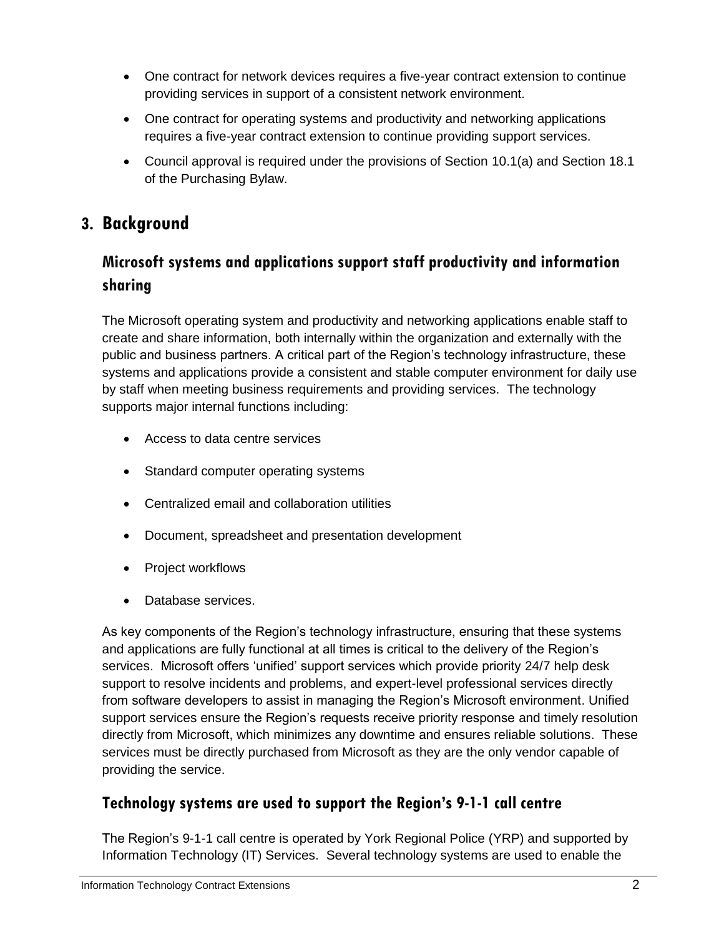- One contract for network devices requires a five-year contract extension to continue providing services in support of a consistent network environment.
- One contract for operating systems and productivity and networking applications requires a five-year contract extension to continue providing support services.
- Council approval is required under the provisions of Section 10.1(a) and Section 18.1 of the Purchasing Bylaw.

### **3. Background**

### **Microsoft systems and applications support staff productivity and information sharing**

The Microsoft operating system and productivity and networking applications enable staff to create and share information, both internally within the organization and externally with the public and business partners. A critical part of the Region's technology infrastructure, these systems and applications provide a consistent and stable computer environment for daily use by staff when meeting business requirements and providing services. The technology supports major internal functions including:

- Access to data centre services
- Standard computer operating systems
- Centralized email and collaboration utilities
- Document, spreadsheet and presentation development
- Project workflows
- Database services.

As key components of the Region's technology infrastructure, ensuring that these systems and applications are fully functional at all times is critical to the delivery of the Region's services. Microsoft offers 'unified' support services which provide priority 24/7 help desk support to resolve incidents and problems, and expert-level professional services directly from software developers to assist in managing the Region's Microsoft environment. Unified support services ensure the Region's requests receive priority response and timely resolution directly from Microsoft, which minimizes any downtime and ensures reliable solutions. These services must be directly purchased from Microsoft as they are the only vendor capable of providing the service.

#### **Technology systems are used to support the Region's 9-1-1 call centre**

The Region's 9-1-1 call centre is operated by York Regional Police (YRP) and supported by Information Technology (IT) Services. Several technology systems are used to enable the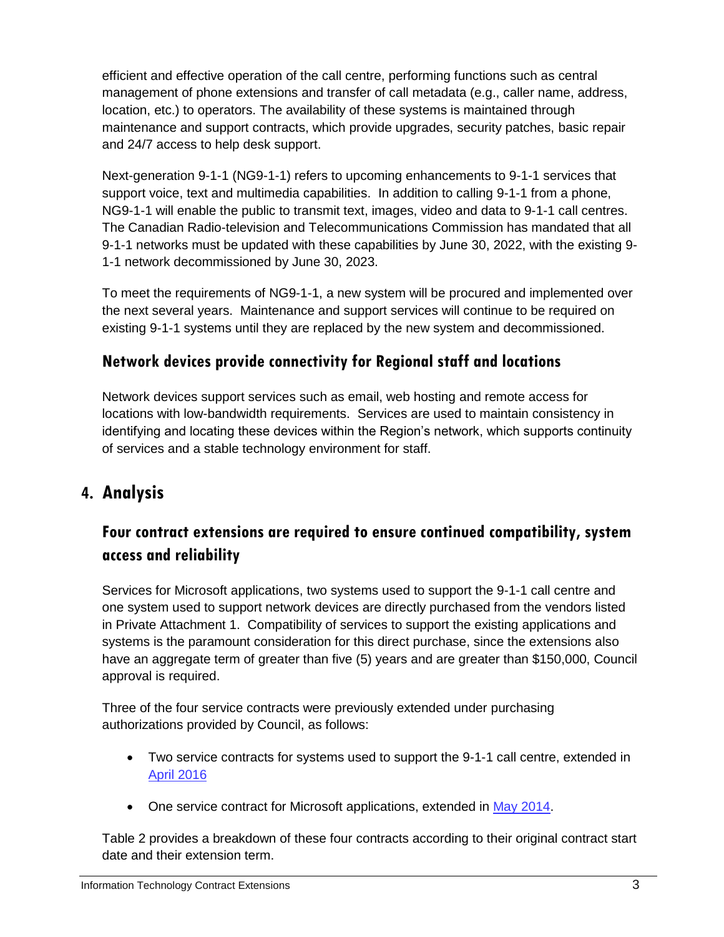efficient and effective operation of the call centre, performing functions such as central management of phone extensions and transfer of call metadata (e.g., caller name, address, location, etc.) to operators. The availability of these systems is maintained through maintenance and support contracts, which provide upgrades, security patches, basic repair and 24/7 access to help desk support.

Next-generation 9-1-1 (NG9-1-1) refers to upcoming enhancements to 9-1-1 services that support voice, text and multimedia capabilities. In addition to calling 9-1-1 from a phone, NG9-1-1 will enable the public to transmit text, images, video and data to 9-1-1 call centres. The Canadian Radio-television and Telecommunications Commission has mandated that all 9-1-1 networks must be updated with these capabilities by June 30, 2022, with the existing 9- 1-1 network decommissioned by June 30, 2023.

To meet the requirements of NG9-1-1, a new system will be procured and implemented over the next several years. Maintenance and support services will continue to be required on existing 9-1-1 systems until they are replaced by the new system and decommissioned.

#### **Network devices provide connectivity for Regional staff and locations**

Network devices support services such as email, web hosting and remote access for locations with low-bandwidth requirements. Services are used to maintain consistency in identifying and locating these devices within the Region's network, which supports continuity of services and a stable technology environment for staff.

## **4. Analysis**

### **Four contract extensions are required to ensure continued compatibility, system access and reliability**

Services for Microsoft applications, two systems used to support the 9-1-1 call centre and one system used to support network devices are directly purchased from the vendors listed in Private Attachment 1. Compatibility of services to support the existing applications and systems is the paramount consideration for this direct purchase, since the extensions also have an aggregate term of greater than five (5) years and are greater than \$150,000, Council approval is required.

Three of the four service contracts were previously extended under purchasing authorizations provided by Council, as follows:

- Two service contracts for systems used to support the 9-1-1 call centre, extended in [April 2016](https://www.york.ca/wps/wcm/connect/yorkpublic/28a39acf-22a9-4889-8183-de8fcd645cd2/apr+14+911+ex.pdf?MOD=AJPERES)
- One service contract for Microsoft applications, extended in [May 2014.](https://www.york.ca/wps/wcm/connect/yorkpublic/1c387863-c1be-4cd4-b144-8fe555cd1bc8/may+8+technology+ex.pdf?MOD=AJPERES)

Table 2 provides a breakdown of these four contracts according to their original contract start date and their extension term.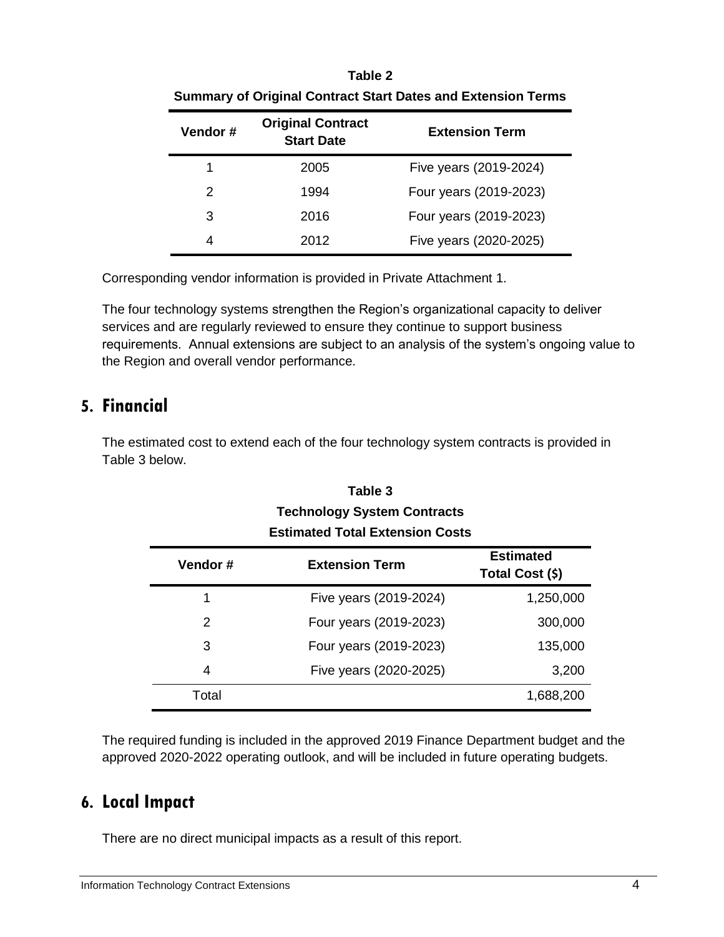| <b>Summary of Original Contract Start Dates and Extension Terms</b> |                                               |                        |  |
|---------------------------------------------------------------------|-----------------------------------------------|------------------------|--|
| Vendor#                                                             | <b>Original Contract</b><br><b>Start Date</b> | <b>Extension Term</b>  |  |
| 1                                                                   | 2005                                          | Five years (2019-2024) |  |
| $\mathcal{P}$                                                       | 1994                                          | Four years (2019-2023) |  |
| 3                                                                   | 2016                                          | Four years (2019-2023) |  |
| 4                                                                   | 2012                                          | Five years (2020-2025) |  |
|                                                                     |                                               |                        |  |

#### **Table 2 Summary of Original Contract Start Dates and Extension Terms**

Corresponding vendor information is provided in Private Attachment 1.

The four technology systems strengthen the Region's organizational capacity to deliver services and are regularly reviewed to ensure they continue to support business requirements. Annual extensions are subject to an analysis of the system's ongoing value to the Region and overall vendor performance.

#### **5. Financial**

The estimated cost to extend each of the four technology system contracts is provided in Table 3 below.

#### **Table 3 Technology System Contracts Estimated Total Extension Costs**

| Vendor#       | <b>Extension Term</b>  | <b>Estimated</b><br>Total Cost (\$) |
|---------------|------------------------|-------------------------------------|
|               | Five years (2019-2024) | 1,250,000                           |
| $\mathcal{P}$ | Four years (2019-2023) | 300,000                             |
| 3             | Four years (2019-2023) | 135,000                             |
| 4             | Five years (2020-2025) | 3,200                               |
| Total         |                        | 1,688,200                           |

The required funding is included in the approved 2019 Finance Department budget and the approved 2020-2022 operating outlook, and will be included in future operating budgets.

## **6. Local Impact**

There are no direct municipal impacts as a result of this report.